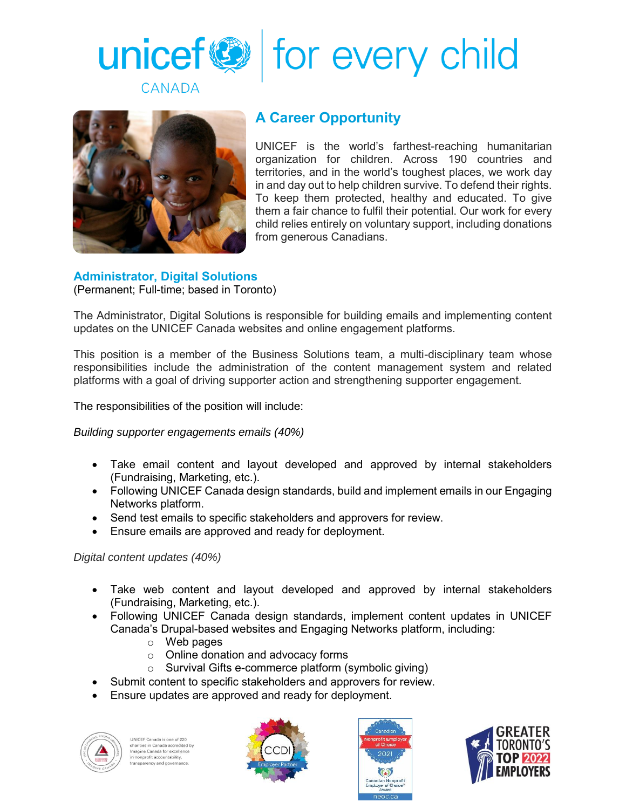



## **A Career Opportunity**

UNICEF is the world's farthest-reaching humanitarian organization for children. Across 190 countries and territories, and in the world's toughest places, we work day in and day out to help children survive. To defend their rights. To keep them protected, healthy and educated. To give them a fair chance to fulfil their potential. Our work for every child relies entirely on voluntary support, including donations from generous Canadians.

## **Administrator, Digital Solutions**

(Permanent; Full-time; based in Toronto)

The Administrator, Digital Solutions is responsible for building emails and implementing content updates on the UNICEF Canada websites and online engagement platforms.

This position is a member of the Business Solutions team, a multi-disciplinary team whose responsibilities include the administration of the content management system and related platforms with a goal of driving supporter action and strengthening supporter engagement.

The responsibilities of the position will include:

*Building supporter engagements emails (40%)*

- Take email content and layout developed and approved by internal stakeholders (Fundraising, Marketing, etc.).
- Following UNICEF Canada design standards, build and implement emails in our Engaging Networks platform.
- Send test emails to specific stakeholders and approvers for review.
- Ensure emails are approved and ready for deployment.

*Digital content updates (40%)*

- Take web content and layout developed and approved by internal stakeholders (Fundraising, Marketing, etc.).
- Following UNICEF Canada design standards, implement content updates in UNICEF Canada's Drupal-based websites and Engaging Networks platform, including:
	- o Web pages
	- o Online donation and advocacy forms
	- o Survival Gifts e-commerce platform (symbolic giving)
- Submit content to specific stakeholders and approvers for review.
- Ensure updates are approved and ready for deployment.



NICEF Canada is one of 220 charities in Canada accredited by Imagine Canada for excellence nagine canada for excend<br>n nonprofit accountability,<br>ransparency and governar